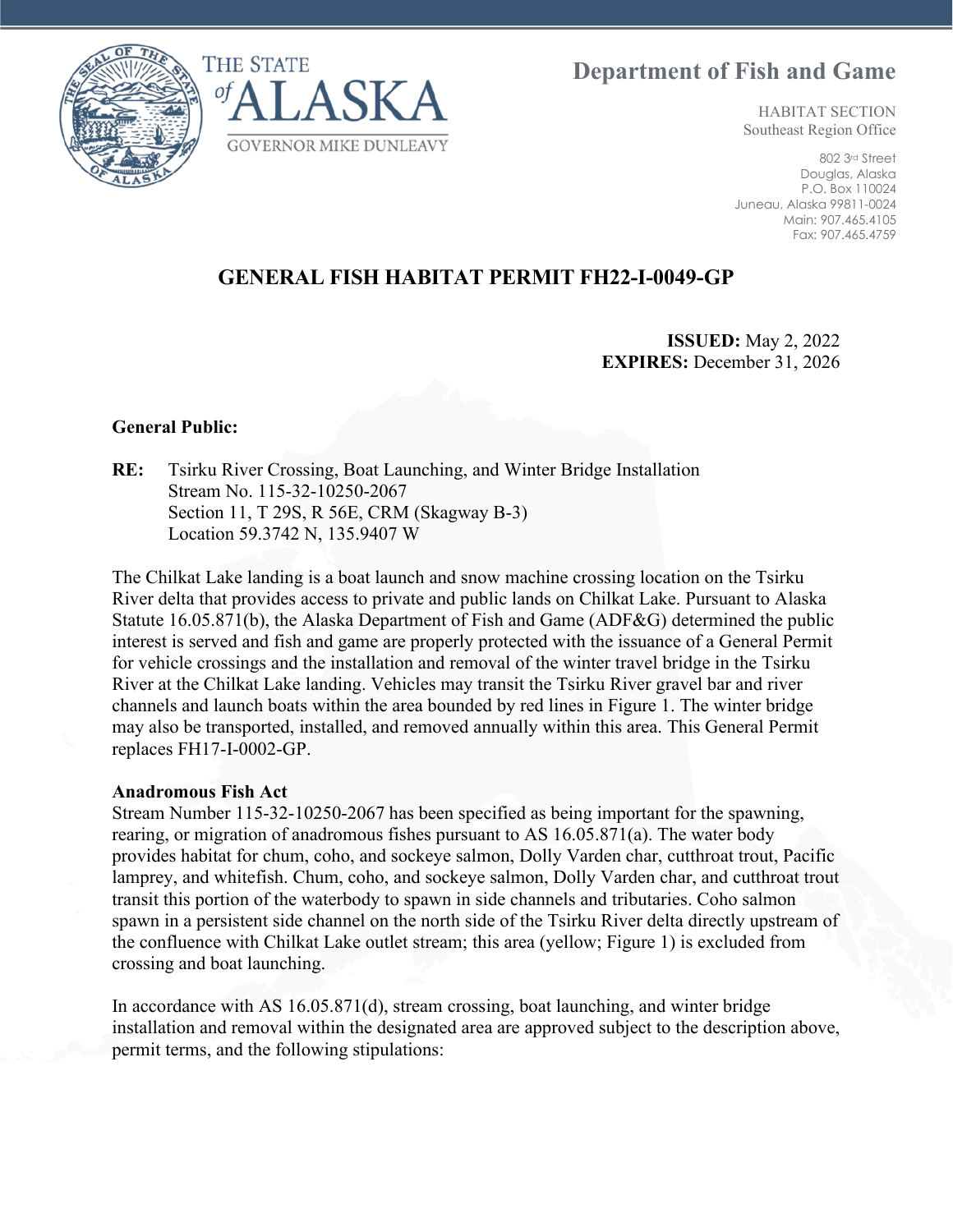**Department of Fish and Game**





HABITAT SECTION Southeast Region Office

802 3rd Street Douglas, Alaska P.O. Box 110024 Juneau, Alaska 99811-0024 Main: 907.465.4105 Fax: 907.465.4759

## **GENERAL FISH HABITAT PERMIT FH22-I-0049-GP**

**ISSUED:** May 2, 2022 **EXPIRES:** December 31, 2026

## **General Public:**

**RE:** Tsirku River Crossing, Boat Launching, and Winter Bridge Installation Stream No. 115-32-10250-2067 Section 11, T 29S, R 56E, CRM (Skagway B-3) Location 59.3742 N, 135.9407 W

The Chilkat Lake landing is a boat launch and snow machine crossing location on the Tsirku River delta that provides access to private and public lands on Chilkat Lake. Pursuant to Alaska Statute 16.05.871(b), the Alaska Department of Fish and Game (ADF&G) determined the public interest is served and fish and game are properly protected with the issuance of a General Permit for vehicle crossings and the installation and removal of the winter travel bridge in the Tsirku River at the Chilkat Lake landing. Vehicles may transit the Tsirku River gravel bar and river channels and launch boats within the area bounded by red lines in Figure 1. The winter bridge may also be transported, installed, and removed annually within this area. This General Permit replaces FH17-I-0002-GP.

## **Anadromous Fish Act**

Stream Number 115-32-10250-2067 has been specified as being important for the spawning, rearing, or migration of anadromous fishes pursuant to AS 16.05.871(a). The water body provides habitat for chum, coho, and sockeye salmon, Dolly Varden char, cutthroat trout, Pacific lamprey, and whitefish. Chum, coho, and sockeye salmon, Dolly Varden char, and cutthroat trout transit this portion of the waterbody to spawn in side channels and tributaries. Coho salmon spawn in a persistent side channel on the north side of the Tsirku River delta directly upstream of the confluence with Chilkat Lake outlet stream; this area (yellow; Figure 1) is excluded from crossing and boat launching.

In accordance with AS 16.05.871(d), stream crossing, boat launching, and winter bridge installation and removal within the designated area are approved subject to the description above, permit terms, and the following stipulations: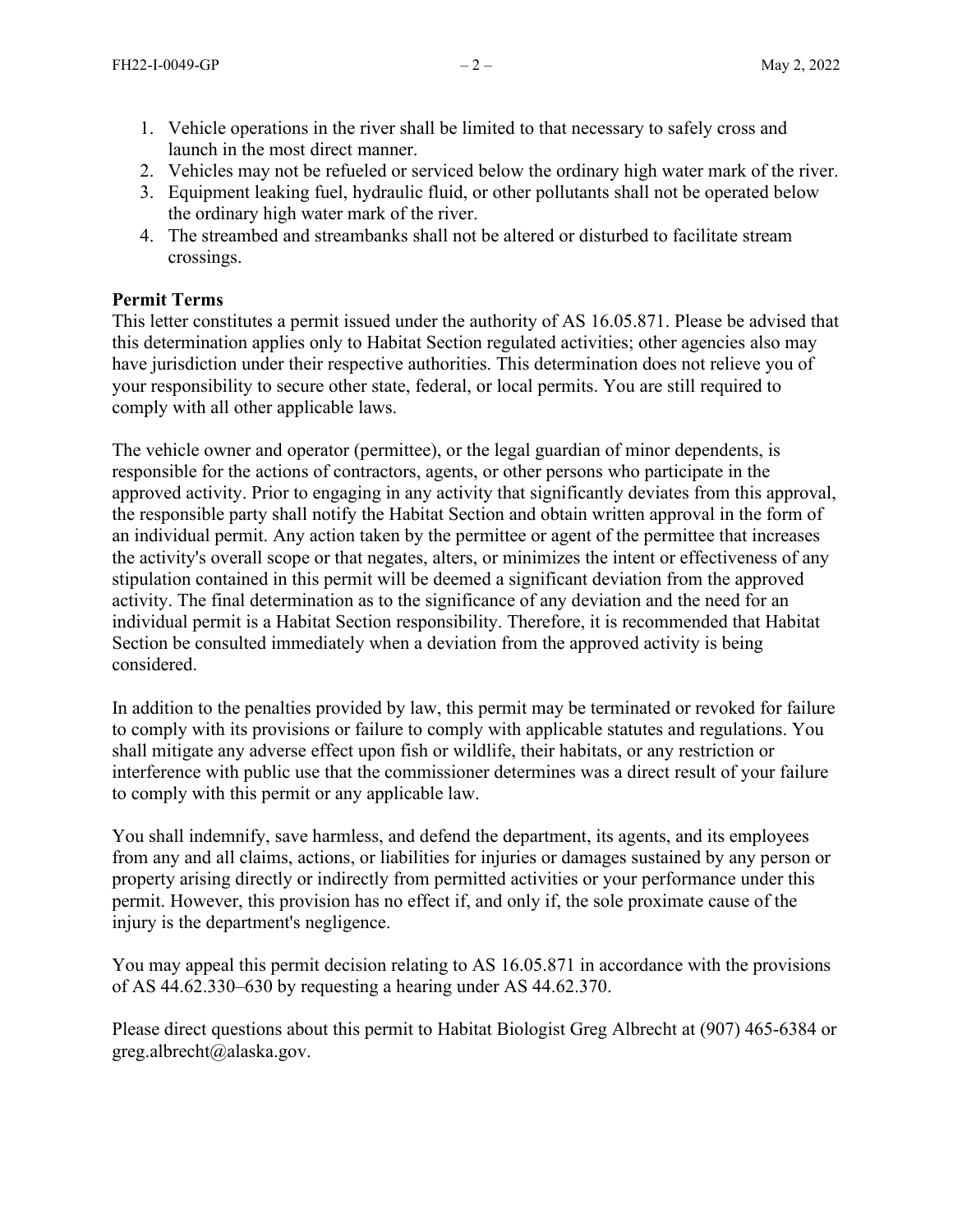- 1. Vehicle operations in the river shall be limited to that necessary to safely cross and launch in the most direct manner.
- 2. Vehicles may not be refueled or serviced below the ordinary high water mark of the river.
- 3. Equipment leaking fuel, hydraulic fluid, or other pollutants shall not be operated below the ordinary high water mark of the river.
- 4. The streambed and streambanks shall not be altered or disturbed to facilitate stream crossings.

## **Permit Terms**

This letter constitutes a permit issued under the authority of AS 16.05.871. Please be advised that this determination applies only to Habitat Section regulated activities; other agencies also may have jurisdiction under their respective authorities. This determination does not relieve you of your responsibility to secure other state, federal, or local permits. You are still required to comply with all other applicable laws.

The vehicle owner and operator (permittee), or the legal guardian of minor dependents, is responsible for the actions of contractors, agents, or other persons who participate in the approved activity. Prior to engaging in any activity that significantly deviates from this approval, the responsible party shall notify the Habitat Section and obtain written approval in the form of an individual permit. Any action taken by the permittee or agent of the permittee that increases the activity's overall scope or that negates, alters, or minimizes the intent or effectiveness of any stipulation contained in this permit will be deemed a significant deviation from the approved activity. The final determination as to the significance of any deviation and the need for an individual permit is a Habitat Section responsibility. Therefore, it is recommended that Habitat Section be consulted immediately when a deviation from the approved activity is being considered.

In addition to the penalties provided by law, this permit may be terminated or revoked for failure to comply with its provisions or failure to comply with applicable statutes and regulations. You shall mitigate any adverse effect upon fish or wildlife, their habitats, or any restriction or interference with public use that the commissioner determines was a direct result of your failure to comply with this permit or any applicable law.

You shall indemnify, save harmless, and defend the department, its agents, and its employees from any and all claims, actions, or liabilities for injuries or damages sustained by any person or property arising directly or indirectly from permitted activities or your performance under this permit. However, this provision has no effect if, and only if, the sole proximate cause of the injury is the department's negligence.

You may appeal this permit decision relating to AS 16.05.871 in accordance with the provisions of AS 44.62.330–630 by requesting a hearing under AS 44.62.370.

Please direct questions about this permit to Habitat Biologist Greg Albrecht at (907) 465-6384 or greg.albrecht@alaska.gov.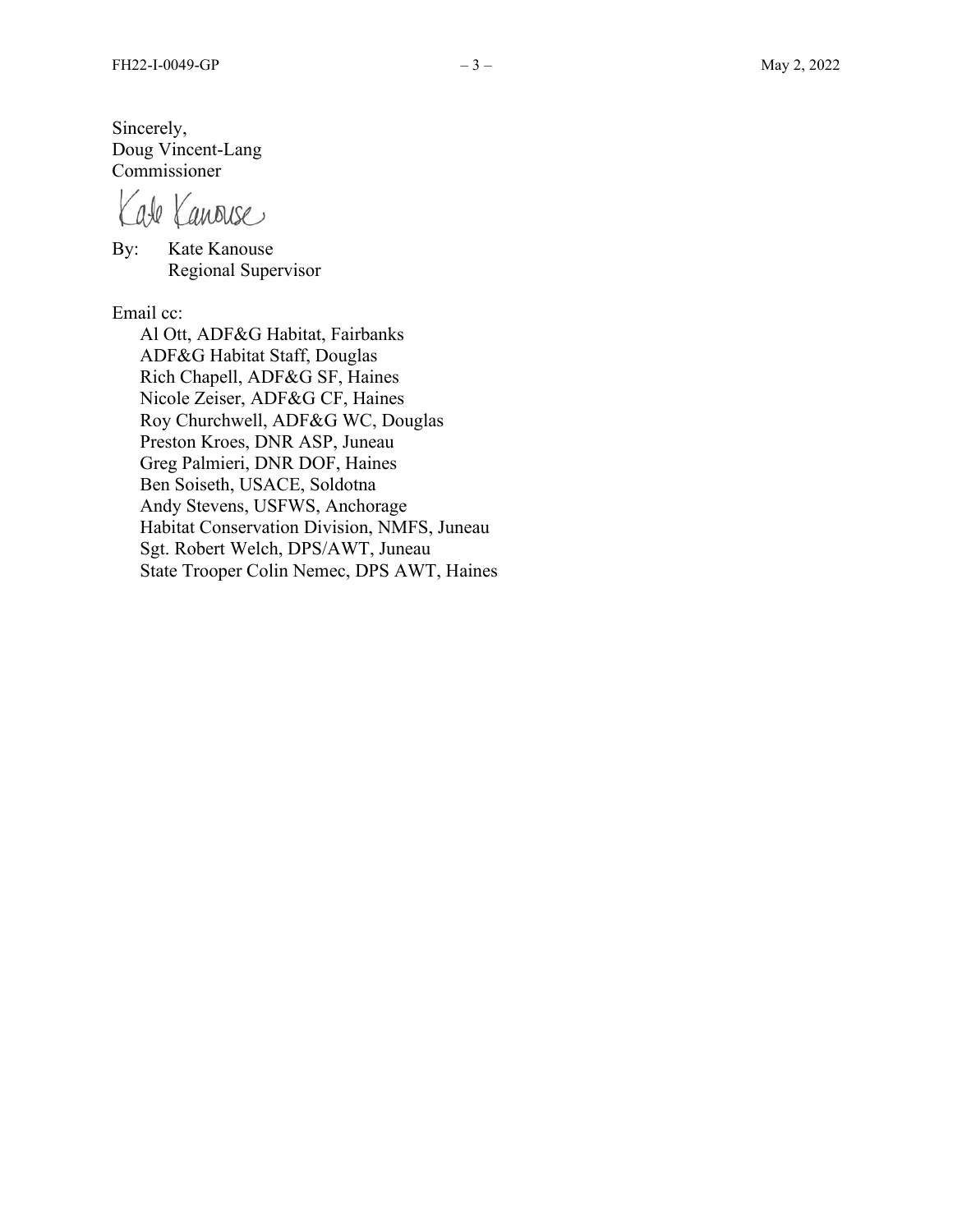Sincerely, Doug Vincent-Lang Commissioner

Kate Kanouse

By: Kate Kanouse Regional Supervisor

Email cc:

Al Ott, ADF&G Habitat, Fairbanks ADF&G Habitat Staff, Douglas Rich Chapell, ADF&G SF, Haines Nicole Zeiser, ADF&G CF, Haines Roy Churchwell, ADF&G WC, Douglas Preston Kroes, DNR ASP, Juneau Greg Palmieri, DNR DOF, Haines Ben Soiseth, USACE, Soldotna Andy Stevens, USFWS, Anchorage Habitat Conservation Division, NMFS, Juneau Sgt. Robert Welch, DPS/AWT, Juneau State Trooper Colin Nemec, DPS AWT, Haines